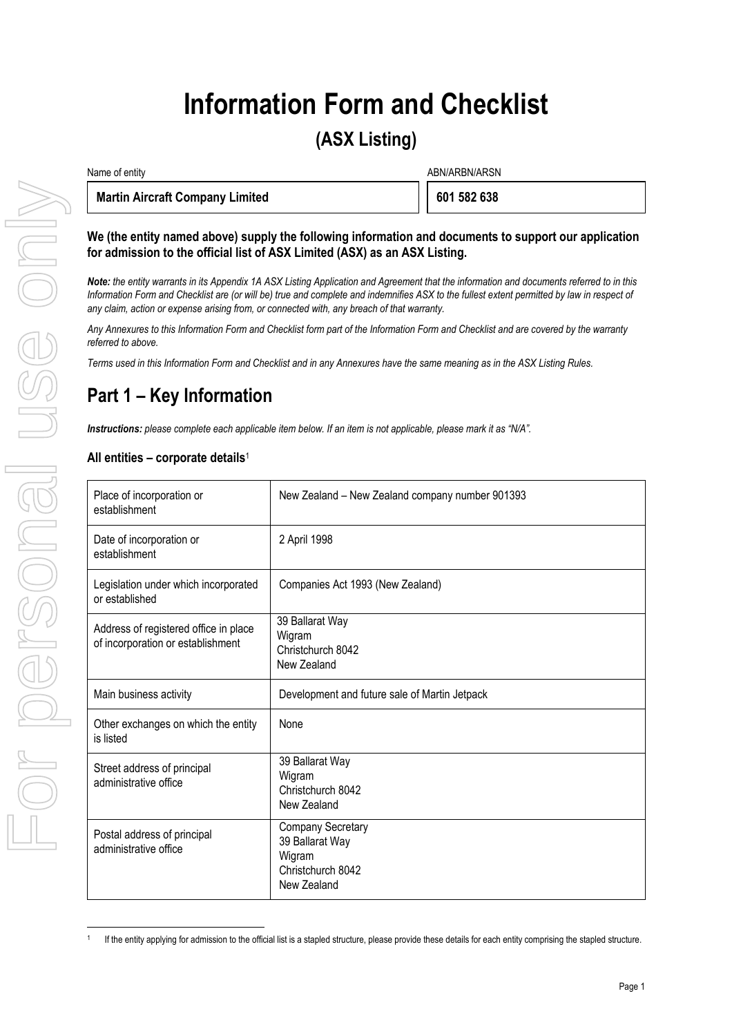# **Information Form and Checklist**

## **(ASX Listing)**

| Name of entity |                                        | ABN/ARBN/ARSN |             |
|----------------|----------------------------------------|---------------|-------------|
|                | <b>Martin Aircraft Company Limited</b> |               | 601 582 638 |

## **We (the entity named above) supply the following information and documents to support our application for admission to the official list of ASX Limited (ASX) as an ASX Listing.**

*Note: the entity warrants in its Appendix 1A ASX Listing Application and Agreement that the information and documents referred to in this Information Form and Checklist are (or will be) true and complete and indemnifies ASX to the fullest extent permitted by law in respect of any claim, action or expense arising from, or connected with, any breach of that warranty.* 

*Any Annexures to this Information Form and Checklist form part of the Information Form and Checklist and are covered by the warranty referred to above.* 

*Terms used in this Information Form and Checklist and in any Annexures have the same meaning as in the ASX Listing Rules.* 

## **Part 1 – Key Information**

*Instructions: please complete each applicable item below. If an item is not applicable, please mark it as "N/A".* 

## **All entities – corporate details**<sup>1</sup>

| Place of incorporation or<br>establishment                                 | New Zealand - New Zealand company number 901393                                           |
|----------------------------------------------------------------------------|-------------------------------------------------------------------------------------------|
| Date of incorporation or<br>establishment                                  | 2 April 1998                                                                              |
| Legislation under which incorporated<br>or established                     | Companies Act 1993 (New Zealand)                                                          |
| Address of registered office in place<br>of incorporation or establishment | 39 Ballarat Way<br>Wigram<br>Christchurch 8042<br>New Zealand                             |
| Main business activity                                                     | Development and future sale of Martin Jetpack                                             |
| Other exchanges on which the entity<br>is listed                           | None                                                                                      |
| Street address of principal<br>administrative office                       | 39 Ballarat Way<br>Wigram<br>Christchurch 8042<br>New Zealand                             |
| Postal address of principal<br>administrative office                       | <b>Company Secretary</b><br>39 Ballarat Way<br>Wigram<br>Christchurch 8042<br>New Zealand |

 1 If the entity applying for admission to the official list is a stapled structure, please provide these details for each entity comprising the stapled structure.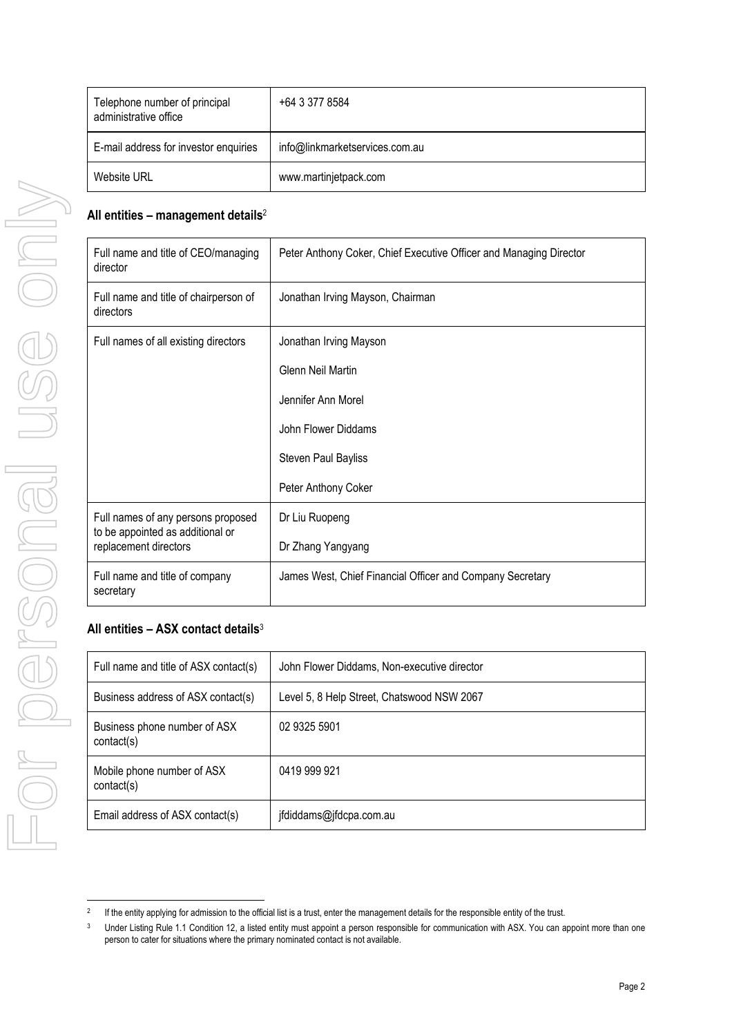| Telephone number of principal<br>administrative office | +64 3 377 8584                 |
|--------------------------------------------------------|--------------------------------|
| E-mail address for investor enquiries                  | info@linkmarketservices.com.au |
| <b>Website URL</b>                                     | www.martinjetpack.com          |

## **All entities – management details**<sup>2</sup>

| Full name and title of CEO/managing<br>director           | Peter Anthony Coker, Chief Executive Officer and Managing Director |
|-----------------------------------------------------------|--------------------------------------------------------------------|
| Full name and title of chairperson of<br>directors        | Jonathan Irving Mayson, Chairman                                   |
| Full names of all existing directors                      | Jonathan Irving Mayson                                             |
|                                                           | Glenn Neil Martin                                                  |
|                                                           | Jennifer Ann Morel                                                 |
|                                                           | John Flower Diddams                                                |
|                                                           | <b>Steven Paul Bayliss</b>                                         |
|                                                           | Peter Anthony Coker                                                |
| Full names of any persons proposed                        | Dr Liu Ruopeng                                                     |
| to be appointed as additional or<br>replacement directors | Dr Zhang Yangyang                                                  |
| Full name and title of company<br>secretary               | James West, Chief Financial Officer and Company Secretary          |

## **All entities – ASX contact details**<sup>3</sup>

| Full name and title of ASX contact(s)      | John Flower Diddams, Non-executive director |
|--------------------------------------------|---------------------------------------------|
| Business address of ASX contact(s)         | Level 5, 8 Help Street, Chatswood NSW 2067  |
| Business phone number of ASX<br>contact(s) | 02 9325 5901                                |
| Mobile phone number of ASX<br>contact(s)   | 0419 999 921                                |
| Email address of ASX contact(s)            | jfdiddams@jfdcpa.com.au                     |

 2 If the entity applying for admission to the official list is a trust, enter the management details for the responsible entity of the trust.

<sup>3</sup> Under Listing Rule 1.1 Condition 12, a listed entity must appoint a person responsible for communication with ASX. You can appoint more than one person to cater for situations where the primary nominated contact is not available.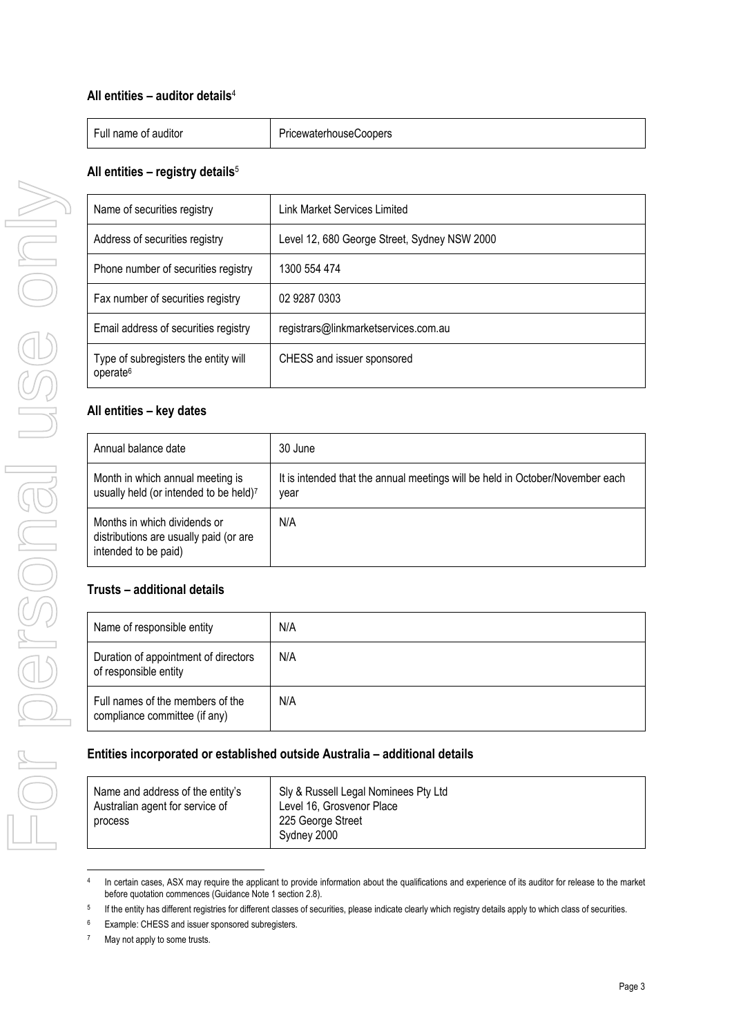## **All entities – auditor details**<sup>4</sup>

| $\overline{\phantom{0}}$ | -       |
|--------------------------|---------|
| .                        | Coopers |
| Euli.                    | .       |
| . auditor                | ewater  |
| name                     | nouse   |
| ΩT                       | ш       |

## **All entities – registry details**<sup>5</sup>

| Name of securities registry                                  | <b>Link Market Services Limited</b>          |
|--------------------------------------------------------------|----------------------------------------------|
| Address of securities registry                               | Level 12, 680 George Street, Sydney NSW 2000 |
| Phone number of securities registry                          | 1300 554 474                                 |
| Fax number of securities registry                            | 02 9287 0303                                 |
| Email address of securities registry                         | registrars@linkmarketservices.com.au         |
| Type of subregisters the entity will<br>operate <sup>6</sup> | CHESS and issuer sponsored                   |

## **All entities – key dates**

| Annual balance date                                                                            | 30 June                                                                               |
|------------------------------------------------------------------------------------------------|---------------------------------------------------------------------------------------|
| Month in which annual meeting is<br>usually held (or intended to be held)7                     | It is intended that the annual meetings will be held in October/November each<br>year |
| Months in which dividends or<br>distributions are usually paid (or are<br>intended to be paid) | N/A                                                                                   |

## **Trusts – additional details**

| Name of responsible entity                                        | N/A |
|-------------------------------------------------------------------|-----|
| Duration of appointment of directors<br>of responsible entity     | N/A |
| Full names of the members of the<br>compliance committee (if any) | N/A |

## **Entities incorporated or established outside Australia – additional details**

| Name and address of the entity's<br>Australian agent for service of<br>process | Sly & Russell Legal Nominees Pty Ltd<br>Level 16, Grosvenor Place<br>225 George Street<br>Sydney 2000 |
|--------------------------------------------------------------------------------|-------------------------------------------------------------------------------------------------------|
|--------------------------------------------------------------------------------|-------------------------------------------------------------------------------------------------------|

 4 In certain cases, ASX may require the applicant to provide information about the qualifications and experience of its auditor for release to the market before quotation commences (Guidance Note 1 section 2.8).

<sup>5</sup> If the entity has different registries for different classes of securities, please indicate clearly which registry details apply to which class of securities.

<sup>6</sup> Example: CHESS and issuer sponsored subregisters.

<sup>7</sup> May not apply to some trusts.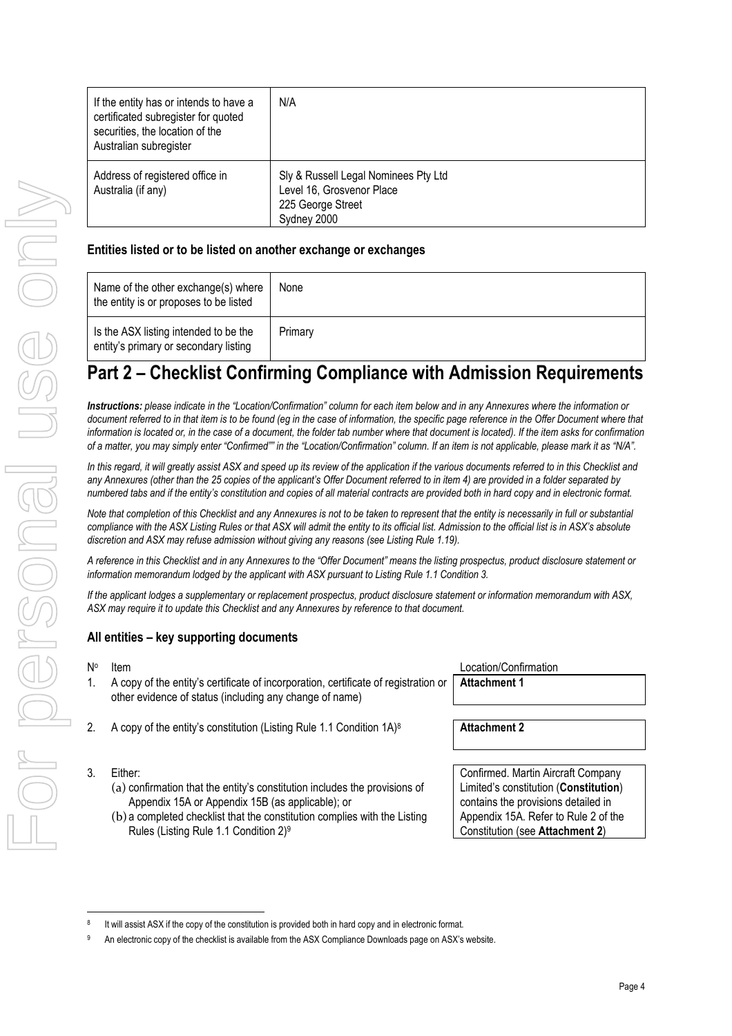| If the entity has or intends to have a<br>certificated subregister for quoted<br>securities, the location of the<br>Australian subregister | N/A                                                                                                   |
|--------------------------------------------------------------------------------------------------------------------------------------------|-------------------------------------------------------------------------------------------------------|
| Address of registered office in<br>Australia (if any)                                                                                      | Sly & Russell Legal Nominees Pty Ltd<br>Level 16, Grosvenor Place<br>225 George Street<br>Sydney 2000 |

## **Entities listed or to be listed on another exchange or exchanges**

| Name of the other exchange(s) where<br>the entity is or proposes to be listed  | None    |
|--------------------------------------------------------------------------------|---------|
| Is the ASX listing intended to be the<br>entity's primary or secondary listing | Primary |

## **Part 2 – Checklist Confirming Compliance with Admission Requirements**

*Instructions: please indicate in the "Location/Confirmation" column for each item below and in any Annexures where the information or*  document referred to in that item is to be found (eg in the case of information, the specific page reference in the Offer Document where that information is located or, in the case of a document, the folder tab number where that document is located). If the item asks for confirmation *of a matter, you may simply enter "Confirmed"" in the "Location/Confirmation" column. If an item is not applicable, please mark it as "N/A".* 

In this regard, it will greatly assist ASX and speed up its review of the application if the various documents referred to in this Checklist and *any Annexures (other than the 25 copies of the applicant's Offer Document referred to in item 4) are provided in a folder separated by numbered tabs and if the entity's constitution and copies of all material contracts are provided both in hard copy and in electronic format.* 

*Note that completion of this Checklist and any Annexures is not to be taken to represent that the entity is necessarily in full or substantial compliance with the ASX Listing Rules or that ASX will admit the entity to its official list. Admission to the official list is in ASX's absolute discretion and ASX may refuse admission without giving any reasons (see Listing Rule 1.19).* 

*A reference in this Checklist and in any Annexures to the "Offer Document" means the listing prospectus, product disclosure statement or information memorandum lodged by the applicant with ASX pursuant to Listing Rule 1.1 Condition 3.* 

*If the applicant lodges a supplementary or replacement prospectus, product disclosure statement or information memorandum with ASX, ASX may require it to update this Checklist and any Annexures by reference to that document.* 

## **All entities – key supporting documents**

- 1. A copy of the entity's certificate of incorporation, certificate of registration or other evidence of status (including any change of name)
- 2. A copy of the entity's constitution (Listing Rule 1.1 Condition 1A)<sup>8</sup> **Attachment 2**
- 3. Either:

- (a) confirmation that the entity's constitution includes the provisions of Appendix 15A or Appendix 15B (as applicable); or
- (b) a completed checklist that the constitution complies with the Listing Rules (Listing Rule 1.1 Condition 2)<sup>9</sup>

| Item                                                                                               | Location/Confirmation |
|----------------------------------------------------------------------------------------------------|-----------------------|
| A copy of the entity's certificate of incorporation, certificate of registration or   Attachment 1 |                       |

Confirmed. Martin Aircraft Company Limited's constitution (**Constitution**) contains the provisions detailed in Appendix 15A. Refer to Rule 2 of the Constitution (see **Attachment 2**)

<sup>8</sup> It will assist ASX if the copy of the constitution is provided both in hard copy and in electronic format.

<sup>9</sup> An electronic copy of the checklist is available from the ASX Compliance Downloads page on ASX's website.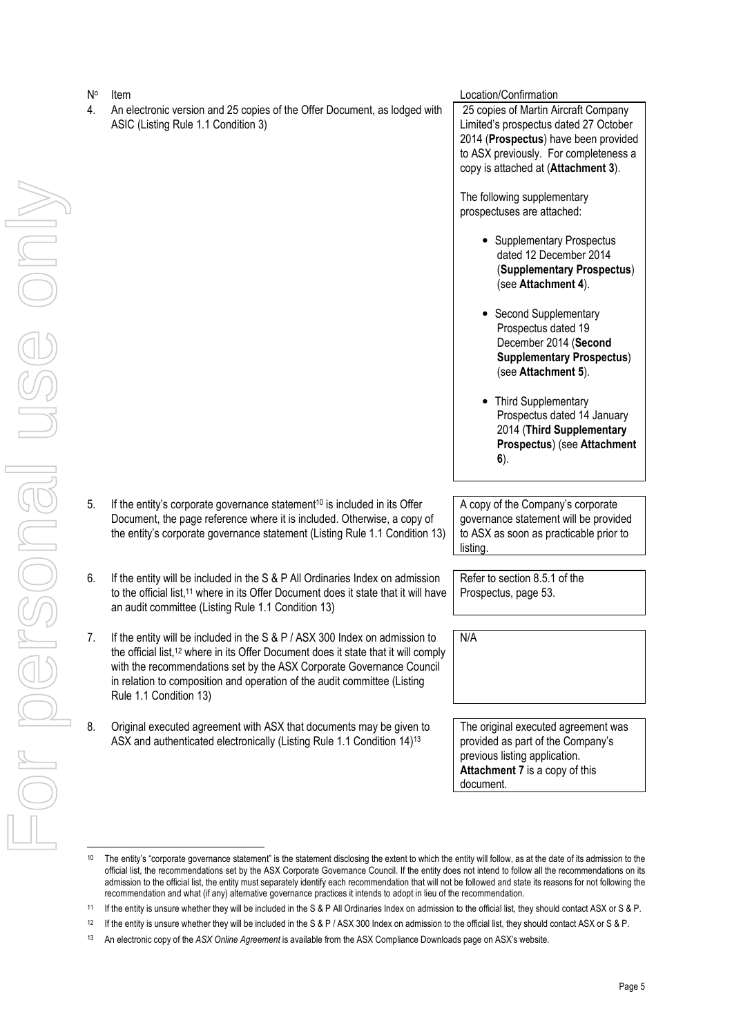4. An electronic version and 25 copies of the Offer Document, as lodged with ASIC (Listing Rule 1.1 Condition 3)

Item Location/Confirmation

 25 copies of Martin Aircraft Company Limited's prospectus dated 27 October 2014 (**Prospectus**) have been provided to ASX previously. For completeness a copy is attached at (**Attachment 3**).

The following supplementary prospectuses are attached:

- Supplementary Prospectus dated 12 December 2014 (**Supplementary Prospectus**) (see **Attachment 4**).
- Second Supplementary Prospectus dated 19 December 2014 (**Second Supplementary Prospectus**) (see **Attachment 5**).
- Third Supplementary Prospectus dated 14 January 2014 (**Third Supplementary Prospectus**) (see **Attachment 6**).
- 5. If the entity's corporate governance statement<sup>10</sup> is included in its Offer Document, the page reference where it is included. Otherwise, a copy of the entity's corporate governance statement (Listing Rule 1.1 Condition 13)
- 6. If the entity will be included in the S & P All Ordinaries Index on admission to the official list,<sup>11</sup> where in its Offer Document does it state that it will have an audit committee (Listing Rule 1.1 Condition 13)
- 7. If the entity will be included in the S & P / ASX 300 Index on admission to the official list,<sup>12</sup> where in its Offer Document does it state that it will comply with the recommendations set by the ASX Corporate Governance Council in relation to composition and operation of the audit committee (Listing Rule 1.1 Condition 13)
- 8. Original executed agreement with ASX that documents may be given to ASX and authenticated electronically (Listing Rule 1.1 Condition 14)<sup>13</sup>

A copy of the Company's corporate governance statement will be provided to ASX as soon as practicable prior to listing.

Refer to section 8.5.1 of the Prospectus, page 53.

N/A

The original executed agreement was provided as part of the Company's previous listing application. **Attachment 7** is a copy of this document.

<sup>&</sup>lt;sup>10</sup> The entity's "corporate governance statement" is the statement disclosing the extent to which the entity will follow, as at the date of its admission to the official list, the recommendations set by the ASX Corporate Governance Council. If the entity does not intend to follow all the recommendations on its admission to the official list, the entity must separately identify each recommendation that will not be followed and state its reasons for not following the recommendation and what (if any) alternative governance practices it intends to adopt in lieu of the recommendation.

<sup>11</sup> If the entity is unsure whether they will be included in the S & P All Ordinaries Index on admission to the official list, they should contact ASX or S & P.

<sup>&</sup>lt;sup>12</sup> If the entity is unsure whether they will be included in the S & P / ASX 300 Index on admission to the official list, they should contact ASX or S & P.

<sup>13</sup> An electronic copy of the *ASX Online Agreement* is available from the ASX Compliance Downloads page on ASX's website.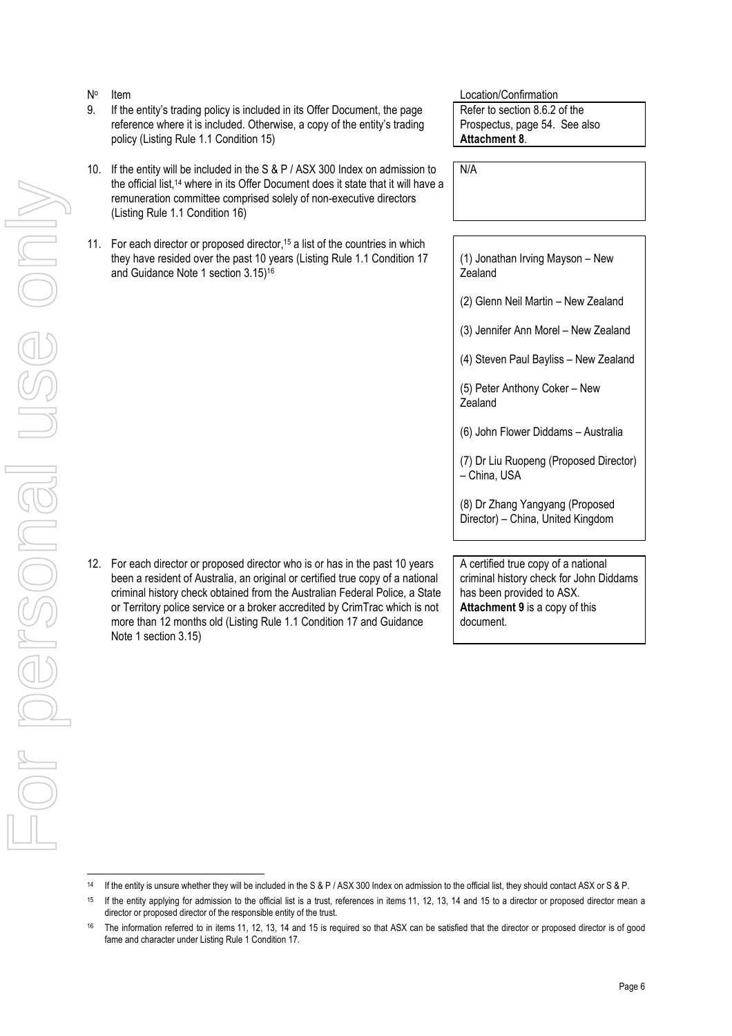- No
- 9. If the entity's trading policy is included in its Offer Document, the page reference where it is included. Otherwise, a copy of the entity's trading policy (Listing Rule 1.1 Condition 15)
- 10. If the entity will be included in the S & P / ASX 300 Index on admission to the official list,14 where in its Offer Document does it state that it will have a remuneration committee comprised solely of non-executive directors (Listing Rule 1.1 Condition 16)
- 11. For each director or proposed director,<sup>15</sup> a list of the countries in which they have resided over the past 10 years (Listing Rule 1.1 Condition 17 and Guidance Note 1 section 3.15)<sup>16</sup>

12. For each director or proposed director who is or has in the past 10 years been a resident of Australia, an original or certified true copy of a national criminal history check obtained from the Australian Federal Police, a State or Territory police service or a broker accredited by CrimTrac which is not more than 12 months old (Listing Rule 1.1 Condition 17 and Guidance

Note 1 section 3.15)

Item Location/Confirmation Refer to section 8.6.2 of the Prospectus, page 54. See also **Attachment 8**.

N/A

(1) Jonathan Irving Mayson – New **Zealand** 

(2) Glenn Neil Martin – New Zealand

(3) Jennifer Ann Morel – New Zealand

(4) Steven Paul Bayliss – New Zealand

(5) Peter Anthony Coker – New Zealand

(6) John Flower Diddams – Australia

(7) Dr Liu Ruopeng (Proposed Director) – China, USA

(8) Dr Zhang Yangyang (Proposed Director) – China, United Kingdom

A certified true copy of a national criminal history check for John Diddams has been provided to ASX. **Attachment 9** is a copy of this document.

<sup>14</sup> If the entity is unsure whether they will be included in the S & P / ASX 300 Index on admission to the official list, they should contact ASX or S & P.

<sup>&</sup>lt;sup>15</sup> If the entity applying for admission to the official list is a trust, references in items 11, 12, 13, 14 and 15 to a director or proposed director mean a director or proposed director of the responsible entity of the trust.

<sup>&</sup>lt;sup>16</sup> The information referred to in items 11, 12, 13, 14 and 15 is required so that ASX can be satisfied that the director or proposed director is of good fame and character under Listing Rule 1 Condition 17.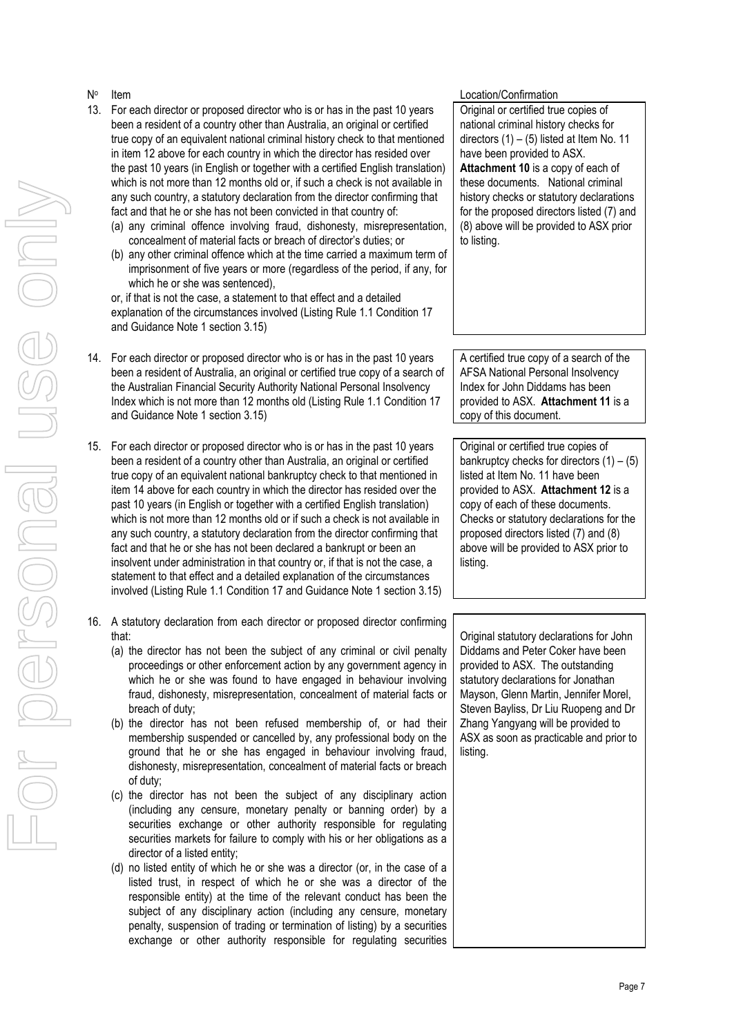### No

- 13. For each director or proposed director who is or has in the past 10 years been a resident of a country other than Australia, an original or certified true copy of an equivalent national criminal history check to that mentioned in item 12 above for each country in which the director has resided over the past 10 years (in English or together with a certified English translation) which is not more than 12 months old or, if such a check is not available in any such country, a statutory declaration from the director confirming that fact and that he or she has not been convicted in that country of:
	- (a) any criminal offence involving fraud, dishonesty, misrepresentation, concealment of material facts or breach of director's duties; or
	- (b) any other criminal offence which at the time carried a maximum term of imprisonment of five years or more (regardless of the period, if any, for which he or she was sentenced),

or, if that is not the case, a statement to that effect and a detailed explanation of the circumstances involved (Listing Rule 1.1 Condition 17 and Guidance Note 1 section 3.15)

- 14. For each director or proposed director who is or has in the past 10 years been a resident of Australia, an original or certified true copy of a search of the Australian Financial Security Authority National Personal Insolvency Index which is not more than 12 months old (Listing Rule 1.1 Condition 17 and Guidance Note 1 section 3.15)
- 15. For each director or proposed director who is or has in the past 10 years been a resident of a country other than Australia, an original or certified true copy of an equivalent national bankruptcy check to that mentioned in item 14 above for each country in which the director has resided over the past 10 years (in English or together with a certified English translation) which is not more than 12 months old or if such a check is not available in any such country, a statutory declaration from the director confirming that fact and that he or she has not been declared a bankrupt or been an insolvent under administration in that country or, if that is not the case, a statement to that effect and a detailed explanation of the circumstances involved (Listing Rule 1.1 Condition 17 and Guidance Note 1 section 3.15)
- 16. A statutory declaration from each director or proposed director confirming that:
	- (a) the director has not been the subject of any criminal or civil penalty proceedings or other enforcement action by any government agency in which he or she was found to have engaged in behaviour involving fraud, dishonesty, misrepresentation, concealment of material facts or breach of duty;
	- (b) the director has not been refused membership of, or had their membership suspended or cancelled by, any professional body on the ground that he or she has engaged in behaviour involving fraud, dishonesty, misrepresentation, concealment of material facts or breach of duty;
	- (c) the director has not been the subject of any disciplinary action (including any censure, monetary penalty or banning order) by a securities exchange or other authority responsible for regulating securities markets for failure to comply with his or her obligations as a director of a listed entity;
	- (d) no listed entity of which he or she was a director (or, in the case of a listed trust, in respect of which he or she was a director of the responsible entity) at the time of the relevant conduct has been the subject of any disciplinary action (including any censure, monetary penalty, suspension of trading or termination of listing) by a securities exchange or other authority responsible for regulating securities

## Item Location/Confirmation

Original or certified true copies of national criminal history checks for directors  $(1) - (5)$  listed at Item No. 11 have been provided to ASX. **Attachment 10** is a copy of each of these documents. National criminal history checks or statutory declarations for the proposed directors listed (7) and (8) above will be provided to ASX prior to listing.

A certified true copy of a search of the AFSA National Personal Insolvency Index for John Diddams has been provided to ASX. **Attachment 11** is a copy of this document.

Original or certified true copies of bankruptcy checks for directors  $(1) - (5)$ listed at Item No. 11 have been provided to ASX. **Attachment 12** is a copy of each of these documents. Checks or statutory declarations for the proposed directors listed (7) and (8) above will be provided to ASX prior to listing.

Original statutory declarations for John Diddams and Peter Coker have been provided to ASX. The outstanding statutory declarations for Jonathan Mayson, Glenn Martin, Jennifer Morel, Steven Bayliss, Dr Liu Ruopeng and Dr Zhang Yangyang will be provided to ASX as soon as practicable and prior to listing.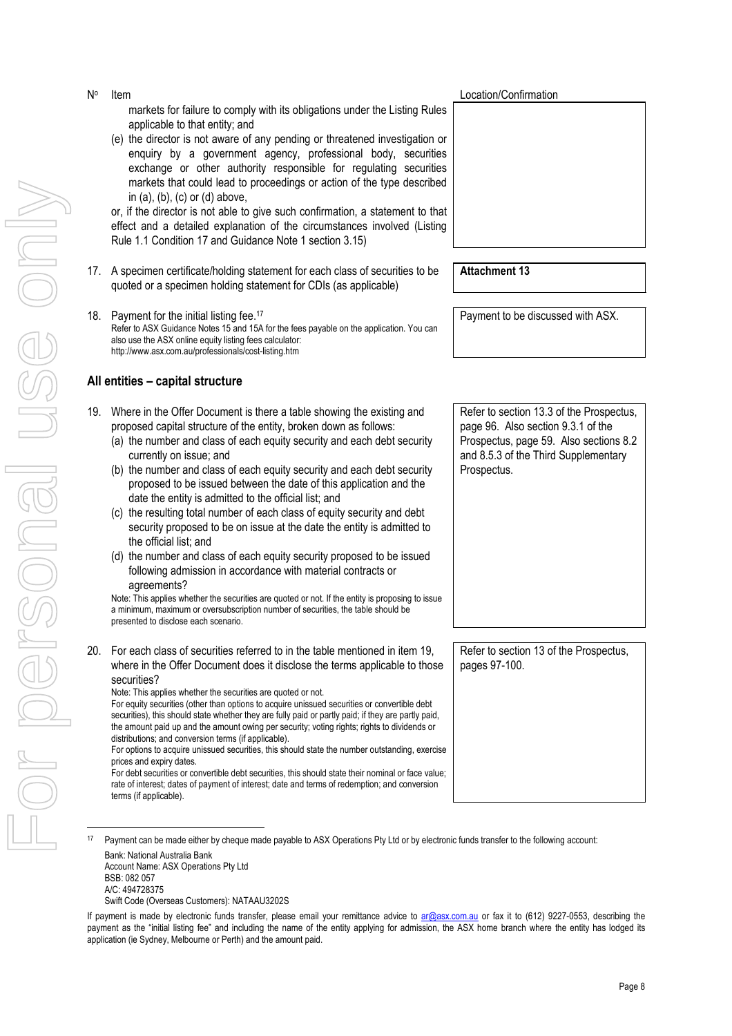Page 8

- For personal use only USS ONN I personal
- markets for failure to comply with its obligations under the Listing Rules applicable to that entity; and
- (e) the director is not aware of any pending or threatened investigation or enquiry by a government agency, professional body, securities exchange or other authority responsible for regulating securities markets that could lead to proceedings or action of the type described in  $(a)$ ,  $(b)$ ,  $(c)$  or  $(d)$  above,

or, if the director is not able to give such confirmation, a statement to that effect and a detailed explanation of the circumstances involved (Listing Rule 1.1 Condition 17 and Guidance Note 1 section 3.15)

- 17. A specimen certificate/holding statement for each class of securities to be quoted or a specimen holding statement for CDIs (as applicable)
- 18. Payment for the initial listing fee.<sup>17</sup> Refer to ASX Guidance Notes 15 and 15A for the fees payable on the application. You can also use the ASX online equity listing fees calculator: http://www.asx.com.au/professionals/cost-listing.htm

## **All entities – capital structure**

No

- 19. Where in the Offer Document is there a table showing the existing and proposed capital structure of the entity, broken down as follows:
	- (a) the number and class of each equity security and each debt security currently on issue; and
	- (b) the number and class of each equity security and each debt security proposed to be issued between the date of this application and the date the entity is admitted to the official list; and
	- (c) the resulting total number of each class of equity security and debt security proposed to be on issue at the date the entity is admitted to the official list; and
	- (d) the number and class of each equity security proposed to be issued following admission in accordance with material contracts or agreements?

Note: This applies whether the securities are quoted or not. If the entity is proposing to issue a minimum, maximum or oversubscription number of securities, the table should be presented to disclose each scenario.

20. For each class of securities referred to in the table mentioned in item 19, where in the Offer Document does it disclose the terms applicable to those securities?

Note: This applies whether the securities are quoted or not.

For equity securities (other than options to acquire unissued securities or convertible debt securities), this should state whether they are fully paid or partly paid; if they are partly paid, the amount paid up and the amount owing per security; voting rights; rights to dividends or distributions; and conversion terms (if applicable).

For debt securities or convertible debt securities, this should state their nominal or face value; rate of interest; dates of payment of interest; date and terms of redemption; and conversion terms (if applicable).

Account Name: ASX Operations Pty Ltd BSB: 082 057

Swift Code (Overseas Customers): NATAAU3202S

**Item** Location/Confirmation

Payment to be discussed with ASX.

**Attachment 13** 

Refer to section 13.3 of the Prospectus, page 96. Also section 9.3.1 of the Prospectus, page 59. Also sections 8.2 and 8.5.3 of the Third Supplementary Prospectus.

Refer to section 13 of the Prospectus, pages 97-100.

For options to acquire unissued securities, this should state the number outstanding, exercise prices and expiry dates.

<sup>17</sup> Payment can be made either by cheque made payable to ASX Operations Pty Ltd or by electronic funds transfer to the following account: Bank: National Australia Bank

A/C: 494728375

If payment is made by electronic funds transfer, please email your remittance advice to ar@asx.com.au or fax it to (612) 9227-0553, describing the payment as the "initial listing fee" and including the name of the entity applying for admission, the ASX home branch where the entity has lodged its application (ie Sydney, Melbourne or Perth) and the amount paid.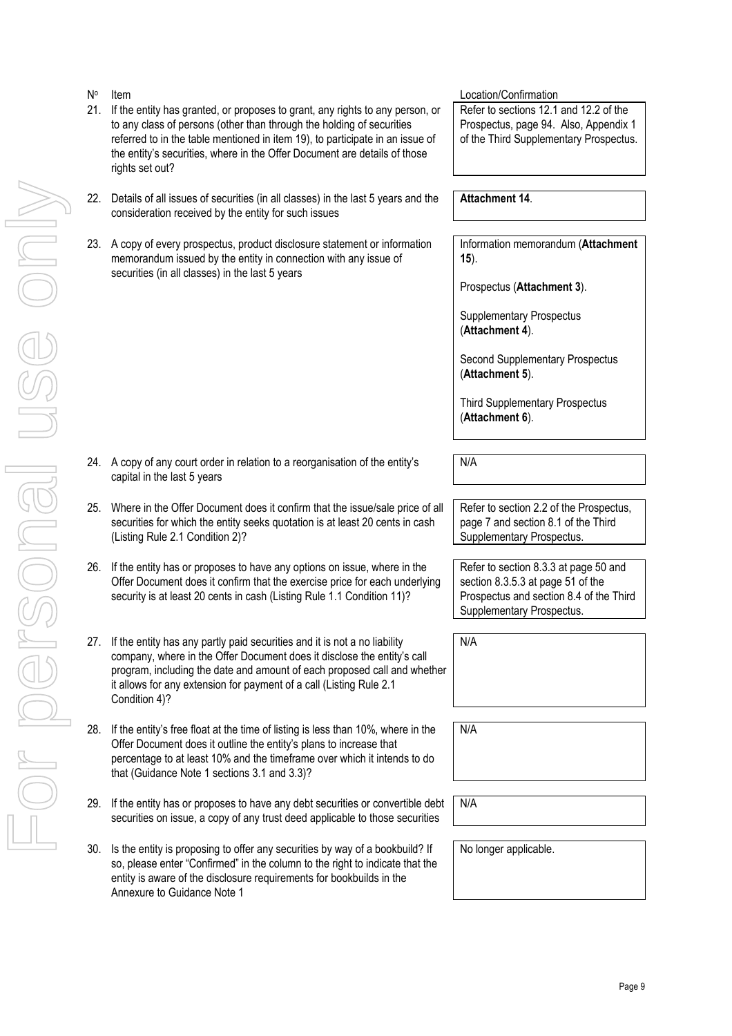For personal use only

| N°  | Item                                                                                                                                                                                                                                                                                                                                    | Location/Confirmation                                                                                                                              |
|-----|-----------------------------------------------------------------------------------------------------------------------------------------------------------------------------------------------------------------------------------------------------------------------------------------------------------------------------------------|----------------------------------------------------------------------------------------------------------------------------------------------------|
| 21. | If the entity has granted, or proposes to grant, any rights to any person, or<br>to any class of persons (other than through the holding of securities<br>referred to in the table mentioned in item 19), to participate in an issue of<br>the entity's securities, where in the Offer Document are details of those<br>rights set out? | Refer to sections 12.1 and 12.2 of the<br>Prospectus, page 94. Also, Appendix 1<br>of the Third Supplementary Prospectus.                          |
|     | 22. Details of all issues of securities (in all classes) in the last 5 years and the<br>consideration received by the entity for such issues                                                                                                                                                                                            | <b>Attachment 14.</b>                                                                                                                              |
|     | 23. A copy of every prospectus, product disclosure statement or information<br>memorandum issued by the entity in connection with any issue of<br>securities (in all classes) in the last 5 years                                                                                                                                       | Information memorandum (Attachment<br>$15$ ).                                                                                                      |
|     |                                                                                                                                                                                                                                                                                                                                         | Prospectus (Attachment 3).                                                                                                                         |
|     |                                                                                                                                                                                                                                                                                                                                         | <b>Supplementary Prospectus</b><br>(Attachment 4).                                                                                                 |
|     |                                                                                                                                                                                                                                                                                                                                         | Second Supplementary Prospectus<br>(Attachment 5).                                                                                                 |
|     |                                                                                                                                                                                                                                                                                                                                         | <b>Third Supplementary Prospectus</b><br>(Attachment 6).                                                                                           |
|     | 24. A copy of any court order in relation to a reorganisation of the entity's<br>capital in the last 5 years                                                                                                                                                                                                                            | N/A                                                                                                                                                |
| 25. | Where in the Offer Document does it confirm that the issue/sale price of all<br>securities for which the entity seeks quotation is at least 20 cents in cash<br>(Listing Rule 2.1 Condition 2)?                                                                                                                                         | Refer to section 2.2 of the Prospectus,<br>page 7 and section 8.1 of the Third<br>Supplementary Prospectus.                                        |
| 26. | If the entity has or proposes to have any options on issue, where in the<br>Offer Document does it confirm that the exercise price for each underlying<br>security is at least 20 cents in cash (Listing Rule 1.1 Condition 11)?                                                                                                        | Refer to section 8.3.3 at page 50 and<br>section 8.3.5.3 at page 51 of the<br>Prospectus and section 8.4 of the Third<br>Supplementary Prospectus. |
|     | 27. If the entity has any partly paid securities and it is not a no liability<br>company, where in the Offer Document does it disclose the entity's call<br>program, including the date and amount of each proposed call and whether<br>it allows for any extension for payment of a call (Listing Rule 2.1<br>Condition 4)?            | N/A                                                                                                                                                |
|     | 28. If the entity's free float at the time of listing is less than 10%, where in the<br>Offer Document does it outline the entity's plans to increase that<br>percentage to at least 10% and the timeframe over which it intends to do<br>that (Guidance Note 1 sections 3.1 and 3.3)?                                                  | N/A                                                                                                                                                |
| 29. | If the entity has or proposes to have any debt securities or convertible debt<br>securities on issue, a copy of any trust deed applicable to those securities                                                                                                                                                                           | N/A                                                                                                                                                |
| 30. | Is the entity is proposing to offer any securities by way of a bookbuild? If<br>so, please enter "Confirmed" in the column to the right to indicate that the<br>entity is aware of the disclosure requirements for bookbuilds in the<br>Annexure to Guidance Note 1                                                                     | No longer applicable.                                                                                                                              |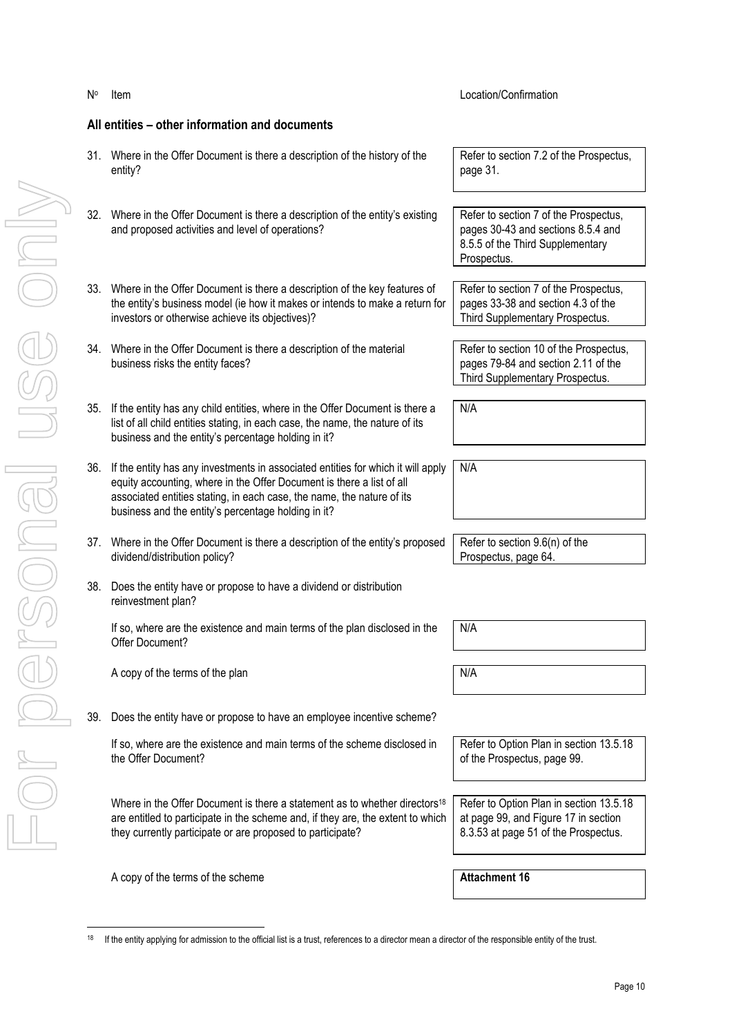|     | All entities – other information and documents                                                                                                                                                                                                                                             |                                                                                                                                |
|-----|--------------------------------------------------------------------------------------------------------------------------------------------------------------------------------------------------------------------------------------------------------------------------------------------|--------------------------------------------------------------------------------------------------------------------------------|
|     | 31. Where in the Offer Document is there a description of the history of the<br>entity?                                                                                                                                                                                                    | Refer to section 7.2 of the Prospectus,<br>page 31.                                                                            |
|     | 32. Where in the Offer Document is there a description of the entity's existing<br>and proposed activities and level of operations?                                                                                                                                                        | Refer to section 7 of the Prospectus,<br>pages 30-43 and sections 8.5.4 and<br>8.5.5 of the Third Supplementary<br>Prospectus. |
|     | 33. Where in the Offer Document is there a description of the key features of<br>the entity's business model (ie how it makes or intends to make a return for<br>investors or otherwise achieve its objectives)?                                                                           | Refer to section 7 of the Prospectus,<br>pages 33-38 and section 4.3 of the<br>Third Supplementary Prospectus.                 |
| 34. | Where in the Offer Document is there a description of the material<br>business risks the entity faces?                                                                                                                                                                                     | Refer to section 10 of the Prospectus,<br>pages 79-84 and section 2.11 of the<br>Third Supplementary Prospectus.               |
| 35. | If the entity has any child entities, where in the Offer Document is there a<br>list of all child entities stating, in each case, the name, the nature of its<br>business and the entity's percentage holding in it?                                                                       | N/A                                                                                                                            |
| 36. | If the entity has any investments in associated entities for which it will apply<br>equity accounting, where in the Offer Document is there a list of all<br>associated entities stating, in each case, the name, the nature of its<br>business and the entity's percentage holding in it? | N/A                                                                                                                            |
|     | 37. Where in the Offer Document is there a description of the entity's proposed<br>dividend/distribution policy?                                                                                                                                                                           | Refer to section 9.6(n) of the<br>Prospectus, page 64.                                                                         |
|     | 38. Does the entity have or propose to have a dividend or distribution<br>reinvestment plan?                                                                                                                                                                                               |                                                                                                                                |
|     | If so, where are the existence and main terms of the plan disclosed in the<br>Offer Document?                                                                                                                                                                                              | N/A                                                                                                                            |
|     | A copy of the terms of the plan                                                                                                                                                                                                                                                            | N/A                                                                                                                            |
| 39. | Does the entity have or propose to have an employee incentive scheme?                                                                                                                                                                                                                      |                                                                                                                                |
|     | If so, where are the existence and main terms of the scheme disclosed in<br>the Offer Document?                                                                                                                                                                                            | Refer to Option Plan in section 13.5.18<br>of the Prospectus, page 99.                                                         |
|     | Where in the Offer Document is there a statement as to whether directors <sup>18</sup><br>are entitled to participate in the scheme and, if they are, the extent to which<br>they currently participate or are proposed to participate?                                                    | Refer to Option Plan in section 13.5.18<br>at page 99, and Figure 17 in section<br>8.3.53 at page 51 of the Prospectus.        |
|     |                                                                                                                                                                                                                                                                                            |                                                                                                                                |

Item Location/Confirmation

A copy of the terms of the scheme **Attachment 16 Attachment 16** 

No

 $18$ If the entity applying for admission to the official list is a trust, references to a director mean a director of the responsible entity of the trust.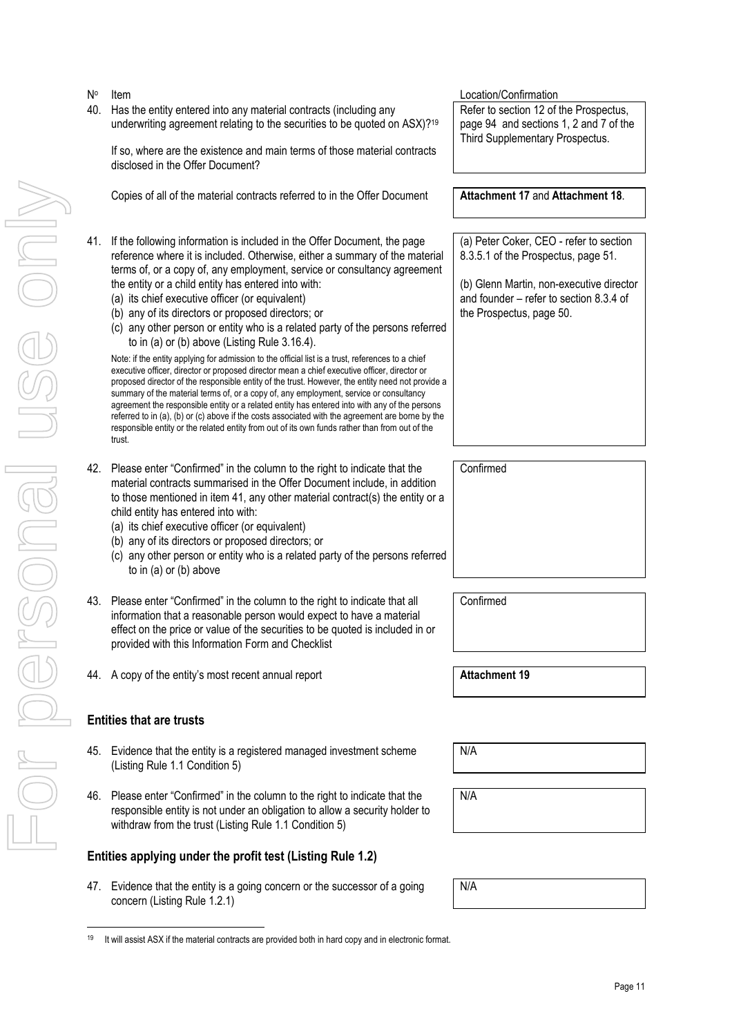For personal use only JSG ONN Drersonal

No

 If so, where are the existence and main terms of those material contracts disclosed in the Offer Document? Copies of all of the material contracts referred to in the Offer Document **Attachment 17** and **Attachment 18**. 41. If the following information is included in the Offer Document, the page reference where it is included. Otherwise, either a summary of the material terms of, or a copy of, any employment, service or consultancy agreement the entity or a child entity has entered into with: (a) its chief executive officer (or equivalent) (b) any of its directors or proposed directors; or (c) any other person or entity who is a related party of the persons referred to in (a) or (b) above (Listing Rule 3.16.4). Note: if the entity applying for admission to the official list is a trust, references to a chief executive officer, director or proposed director mean a chief executive officer, director or proposed director of the responsible entity of the trust. However, the entity need not provide a summary of the material terms of, or a copy of, any employment, service or consultancy agreement the responsible entity or a related entity has entered into with any of the persons referred to in (a), (b) or (c) above if the costs associated with the agreement are borne by the responsible entity or the related entity from out of its own funds rather than from out of the trust. the Prospectus, page 50. 42. Please enter "Confirmed" in the column to the right to indicate that the material contracts summarised in the Offer Document include, in addition to those mentioned in item 41, any other material contract(s) the entity or a child entity has entered into with: (a) its chief executive officer (or equivalent) (b) any of its directors or proposed directors; or (c) any other person or entity who is a related party of the persons referred to in (a) or (b) above Confirmed 43. Please enter "Confirmed" in the column to the right to indicate that all information that a reasonable person would expect to have a material effect on the price or value of the securities to be quoted is included in or provided with this Information Form and Checklist Confirmed 44. A copy of the entity's most recent annual report **Attachment 19 Attachment 19** 

**Item** Location/Confirmation

40. Has the entity entered into any material contracts (including any

underwriting agreement relating to the securities to be quoted on ASX)?<sup>19</sup>

- **Entities that are trusts**
- 45. Evidence that the entity is a registered managed investment scheme (Listing Rule 1.1 Condition 5)
- 46. Please enter "Confirmed" in the column to the right to indicate that the responsible entity is not under an obligation to allow a security holder to withdraw from the trust (Listing Rule 1.1 Condition 5)

## **Entities applying under the profit test (Listing Rule 1.2)**

47. Evidence that the entity is a going concern or the successor of a going concern (Listing Rule 1.2.1)

Refer to section 12 of the Prospectus, page 94 and sections 1, 2 and 7 of the Third Supplementary Prospectus.

(a) Peter Coker, CEO - refer to section 8.3.5.1 of the Prospectus, page 51.

(b) Glenn Martin, non-executive director and founder – refer to section 8.3.4 of

N/A

N/A

N/A

 <sup>19</sup> It will assist ASX if the material contracts are provided both in hard copy and in electronic format.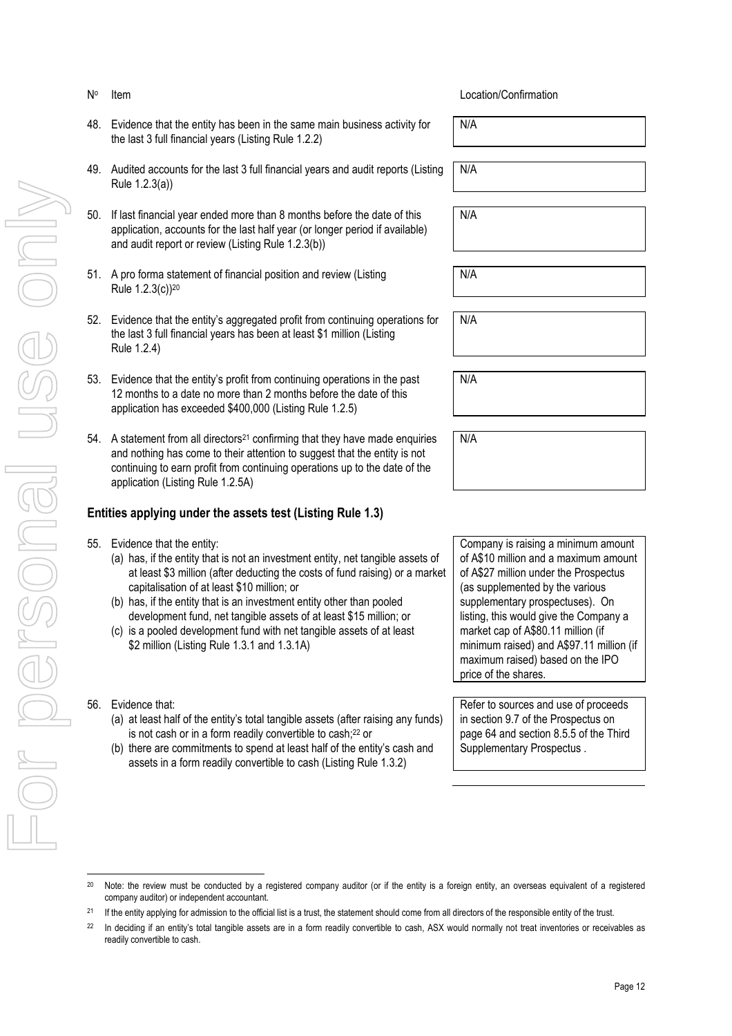### No

- 48. Evidence that the entity has been in the same main business activity for the last 3 full financial years (Listing Rule 1.2.2)
- 49. Audited accounts for the last 3 full financial years and audit reports (Listing Rule 1.2.3(a))
- 50. If last financial year ended more than 8 months before the date of this application, accounts for the last half year (or longer period if available) and audit report or review (Listing Rule 1.2.3(b))
- 51. A pro forma statement of financial position and review (Listing Rule 1.2.3(c))<sup>20</sup>
- 52. Evidence that the entity's aggregated profit from continuing operations for the last 3 full financial years has been at least \$1 million (Listing Rule 1.2.4)
- 53. Evidence that the entity's profit from continuing operations in the past 12 months to a date no more than 2 months before the date of this application has exceeded \$400,000 (Listing Rule 1.2.5)
- 54. A statement from all directors<sup>21</sup> confirming that they have made enquiries and nothing has come to their attention to suggest that the entity is not continuing to earn profit from continuing operations up to the date of the application (Listing Rule 1.2.5A)

## **Entities applying under the assets test (Listing Rule 1.3)**

- 55. Evidence that the entity:
	- (a) has, if the entity that is not an investment entity, net tangible assets of at least \$3 million (after deducting the costs of fund raising) or a market capitalisation of at least \$10 million; or
	- (b) has, if the entity that is an investment entity other than pooled development fund, net tangible assets of at least \$15 million; or
	- (c) is a pooled development fund with net tangible assets of at least \$2 million (Listing Rule 1.3.1 and 1.3.1A)
- 56. Evidence that:

- (a) at least half of the entity's total tangible assets (after raising any funds) is not cash or in a form readily convertible to cash;<sup>22</sup> or
- (b) there are commitments to spend at least half of the entity's cash and assets in a form readily convertible to cash (Listing Rule 1.3.2)

Item Location/Confirmation

N/A

N/A

N/A

N/A

N/A

N/A

N/A

Company is raising a minimum amount of A\$10 million and a maximum amount of A\$27 million under the Prospectus (as supplemented by the various supplementary prospectuses). On listing, this would give the Company a market cap of A\$80.11 million (if minimum raised) and A\$97.11 million (if maximum raised) based on the IPO price of the shares.

Refer to sources and use of proceeds in section 9.7 of the Prospectus on page 64 and section 8.5.5 of the Third Supplementary Prospectus .

<sup>&</sup>lt;sup>20</sup> Note: the review must be conducted by a registered company auditor (or if the entity is a foreign entity, an overseas equivalent of a registered company auditor) or independent accountant.

<sup>&</sup>lt;sup>21</sup> If the entity applying for admission to the official list is a trust, the statement should come from all directors of the responsible entity of the trust.

<sup>&</sup>lt;sup>22</sup> In deciding if an entity's total tangible assets are in a form readily convertible to cash, ASX would normally not treat inventories or receivables as readily convertible to cash.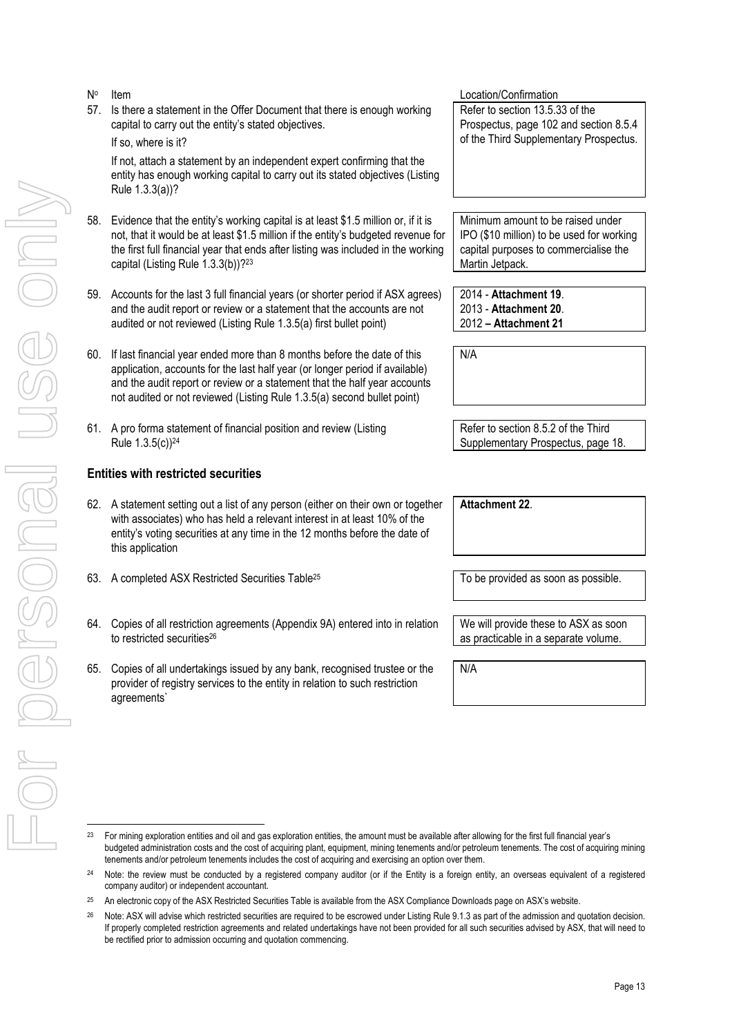| N°  | Item                                                                                                                                                                                                                                                                                                            | Location/Confirmation                                                                                                                      |
|-----|-----------------------------------------------------------------------------------------------------------------------------------------------------------------------------------------------------------------------------------------------------------------------------------------------------------------|--------------------------------------------------------------------------------------------------------------------------------------------|
| 57. | Is there a statement in the Offer Document that there is enough working<br>capital to carry out the entity's stated objectives.                                                                                                                                                                                 | Refer to section 13.5.33 of the<br>Prospectus, page 102 and section 8.5.4                                                                  |
|     | If so, where is it?                                                                                                                                                                                                                                                                                             | of the Third Supplementary Prospectus.                                                                                                     |
|     | If not, attach a statement by an independent expert confirming that the<br>entity has enough working capital to carry out its stated objectives (Listing<br>Rule 1.3.3(a))?                                                                                                                                     |                                                                                                                                            |
| 58. | Evidence that the entity's working capital is at least \$1.5 million or, if it is<br>not, that it would be at least \$1.5 million if the entity's budgeted revenue for<br>the first full financial year that ends after listing was included in the working<br>capital (Listing Rule 1.3.3(b))?23               | Minimum amount to be raised under<br>IPO (\$10 million) to be used for working<br>capital purposes to commercialise the<br>Martin Jetpack. |
|     | 59. Accounts for the last 3 full financial years (or shorter period if ASX agrees)<br>and the audit report or review or a statement that the accounts are not<br>audited or not reviewed (Listing Rule 1.3.5(a) first bullet point)                                                                             | 2014 - Attachment 19.<br>2013 - Attachment 20.<br>2012 - Attachment 21                                                                     |
| 60. | If last financial year ended more than 8 months before the date of this<br>application, accounts for the last half year (or longer period if available)<br>and the audit report or review or a statement that the half year accounts<br>not audited or not reviewed (Listing Rule 1.3.5(a) second bullet point) | N/A                                                                                                                                        |
|     | 61. A pro forma statement of financial position and review (Listing<br>Rule 1.3.5(c)) <sup>24</sup>                                                                                                                                                                                                             | Refer to section 8.5.2 of the Third<br>Supplementary Prospectus, page 18.                                                                  |
|     | <b>Entities with restricted securities</b>                                                                                                                                                                                                                                                                      |                                                                                                                                            |
|     | 62. A statement setting out a list of any person (either on their own or together<br>with associates) who has held a relevant interest in at least 10% of the<br>entity's voting securities at any time in the 12 months before the date of<br>this application                                                 | Attachment 22.                                                                                                                             |
| 63. | A completed ASX Restricted Securities Table <sup>25</sup>                                                                                                                                                                                                                                                       | To be provided as soon as possible.                                                                                                        |
|     | 64. Copies of all restriction agreements (Appendix 9A) entered into in relation<br>to restricted securities <sup>26</sup>                                                                                                                                                                                       | We will provide these to ASX as soon<br>as practicable in a separate volume.                                                               |
| 65. | Copies of all undertakings issued by any bank, recognised trustee or the<br>provider of registry services to the entity in relation to such restriction<br>agreements                                                                                                                                           | N/A                                                                                                                                        |
|     |                                                                                                                                                                                                                                                                                                                 |                                                                                                                                            |
| 23  | For mining exploration entities and oil and gas exploration entities, the amount must be available after allowing for the first full financial year's<br>hudgeted administration costs and the cost of acquiring plant, equipment, mining tenements and/or petroleum tenements. The cost of acquiring minin     |                                                                                                                                            |

<sup>&</sup>lt;sup>23</sup> For mining exploration entities and oil and gas exploration entities, the amount must be available after allowing for the first full financial year's budgeted administration costs and the cost of acquiring plant, equipment, mining tenements and/or petroleum tenements. The cost of acquiring mining tenements and/or petroleum tenements includes the cost of acquiring and exercising an option over them.

<sup>&</sup>lt;sup>24</sup> Note: the review must be conducted by a registered company auditor (or if the Entity is a foreign entity, an overseas equivalent of a registered company auditor) or independent accountant.

<sup>&</sup>lt;sup>25</sup> An electronic copy of the ASX Restricted Securities Table is available from the ASX Compliance Downloads page on ASX's website.

<sup>&</sup>lt;sup>26</sup> Note: ASX will advise which restricted securities are required to be escrowed under Listing Rule 9.1.3 as part of the admission and quotation decision. If properly completed restriction agreements and related undertakings have not been provided for all such securities advised by ASX, that will need to be rectified prior to admission occurring and quotation commencing.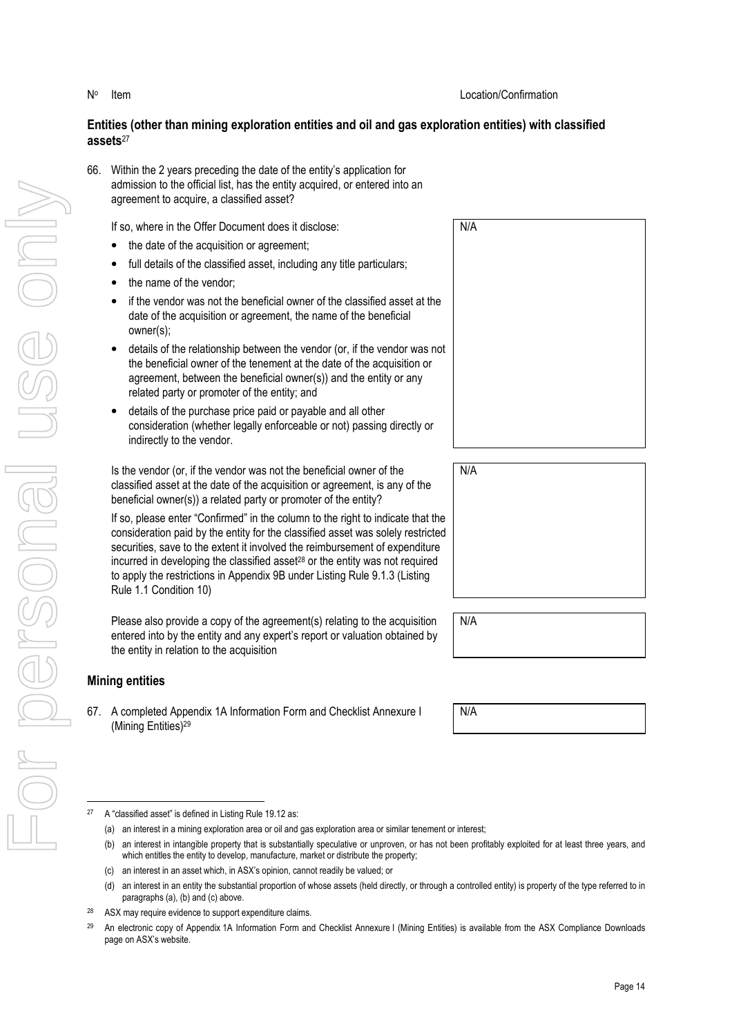## **Entities (other than mining exploration entities and oil and gas exploration entities) with classified assets**<sup>27</sup>

66. Within the 2 years preceding the date of the entity's application for admission to the official list, has the entity acquired, or entered into an agreement to acquire, a classified asset?

If so, where in the Offer Document does it disclose:

- the date of the acquisition or agreement;
- full details of the classified asset, including any title particulars;
- the name of the vendor:
- if the vendor was not the beneficial owner of the classified asset at the date of the acquisition or agreement, the name of the beneficial owner(s);
- details of the relationship between the vendor (or, if the vendor was not the beneficial owner of the tenement at the date of the acquisition or agreement, between the beneficial owner(s)) and the entity or any related party or promoter of the entity; and
- details of the purchase price paid or payable and all other consideration (whether legally enforceable or not) passing directly or indirectly to the vendor.

Is the vendor (or, if the vendor was not the beneficial owner of the classified asset at the date of the acquisition or agreement, is any of the beneficial owner(s)) a related party or promoter of the entity?

If so, please enter "Confirmed" in the column to the right to indicate that the consideration paid by the entity for the classified asset was solely restricted securities, save to the extent it involved the reimbursement of expenditure incurred in developing the classified asset28 or the entity was not required to apply the restrictions in Appendix 9B under Listing Rule 9.1.3 (Listing Rule 1.1 Condition 10)

Please also provide a copy of the agreement(s) relating to the acquisition entered into by the entity and any expert's report or valuation obtained by the entity in relation to the acquisition

## **Mining entities**

67. A completed Appendix 1A Information Form and Checklist Annexure I (Mining Entities)<sup>29</sup>

| N/A |  |  |  |
|-----|--|--|--|
|     |  |  |  |
|     |  |  |  |
|     |  |  |  |
|     |  |  |  |
|     |  |  |  |
|     |  |  |  |
|     |  |  |  |
|     |  |  |  |
|     |  |  |  |

| N/A |
|-----|
|     |
|     |
|     |
|     |
|     |

N/A

N/A

- <sup>27</sup> A "classified asset" is defined in Listing Rule 19.12 as:
	- (a) an interest in a mining exploration area or oil and gas exploration area or similar tenement or interest;
	- (b) an interest in intangible property that is substantially speculative or unproven, or has not been profitably exploited for at least three years, and which entitles the entity to develop, manufacture, market or distribute the property;
	- (c) an interest in an asset which, in ASX's opinion, cannot readily be valued; or
	- (d) an interest in an entity the substantial proportion of whose assets (held directly, or through a controlled entity) is property of the type referred to in paragraphs (a), (b) and (c) above.
- <sup>28</sup> ASX may require evidence to support expenditure claims.
- <sup>29</sup> An electronic copy of Appendix 1A Information Form and Checklist Annexure I (Mining Entities) is available from the ASX Compliance Downloads page on ASX's website.

Item Location/Confirmation